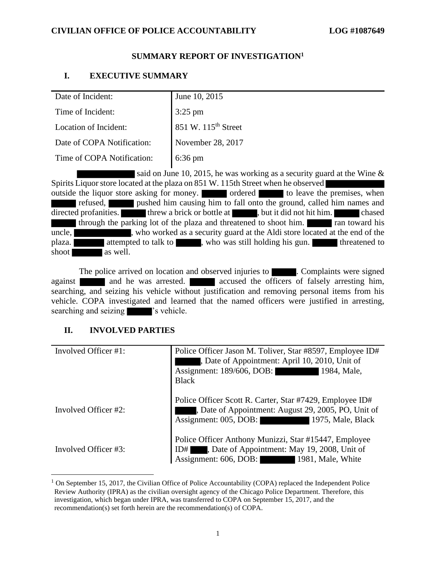### **SUMMARY REPORT OF INVESTIGATION<sup>1</sup>**

### **I. EXECUTIVE SUMMARY**

| Date of Incident:          | June 10, 2015                   |
|----------------------------|---------------------------------|
| Time of Incident:          | $3:25 \text{ pm}$               |
| Location of Incident:      | 851 W. 115 <sup>th</sup> Street |
| Date of COPA Notification: | November 28, 2017               |
| Time of COPA Notification: | $6:36 \text{ pm}$               |
|                            |                                 |

said on June 10, 2015, he was working as a security guard at the Wine & Spirits Liquor store located at the plaza on 851 W. 115th Street when he observed outside the liquor store asking for money. **Occurred** to leave the premises, when refused, pushed him causing him to fall onto the ground, called him names and directed profanities. threw a brick or bottle at , but it did not hit him. through the parking lot of the plaza and threatened to shoot him. The ran toward his uncle, who worked as a security guard at the Aldi store located at the end of the plaza. attempted to talk to , who was still holding his gun. shoot as well.

The police arrived on location and observed injuries to **Example 1.** Complaints were signed against and he was arrested. Accused the officers of falsely arresting him, searching, and seizing his vehicle without justification and removing personal items from his vehicle. COPA investigated and learned that the named officers were justified in arresting, searching and seizing  $\blacksquare$  's vehicle.

# **II. INVOLVED PARTIES**

| Involved Officer #1: | Police Officer Jason M. Toliver, Star #8597, Employee ID#<br>Date of Appointment: April 10, 2010, Unit of<br>Assignment: 189/606, DOB:<br>1984, Male,<br><b>Black</b> |
|----------------------|-----------------------------------------------------------------------------------------------------------------------------------------------------------------------|
| Involved Officer #2: | Police Officer Scott R. Carter, Star #7429, Employee ID#<br>Date of Appointment: August 29, 2005, PO, Unit of<br>Assignment: 005, DOB:<br>1975, Male, Black           |
| Involved Officer #3: | Police Officer Anthony Munizzi, Star #15447, Employee<br>ID#, Date of Appointment: May 19, 2008, Unit of<br>Assignment: 606, DOB:<br>1981, Male, White                |

 $1$  On September 15, 2017, the Civilian Office of Police Accountability (COPA) replaced the Independent Police Review Authority (IPRA) as the civilian oversight agency of the Chicago Police Department. Therefore, this investigation, which began under IPRA, was transferred to COPA on September 15, 2017, and the recommendation(s) set forth herein are the recommendation(s) of COPA.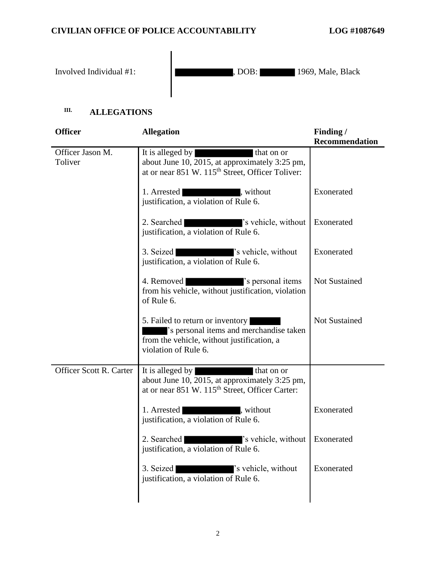Involved Individual #1: (1969, Male, Black  $\Box$ ), DOB: 1969, Male, Black

# **III. ALLEGATIONS**

| <b>Officer</b>              | <b>Allegation</b>                                                                                                                                                    | Finding /<br><b>Recommendation</b> |
|-----------------------------|----------------------------------------------------------------------------------------------------------------------------------------------------------------------|------------------------------------|
| Officer Jason M.<br>Toliver | It is alleged by<br>that on or<br>about June 10, 2015, at approximately 3:25 pm,<br>at or near 851 W. 115 <sup>th</sup> Street, Officer Toliver:                     |                                    |
|                             | 1. Arrested<br>, without<br>justification, a violation of Rule 6.                                                                                                    | Exonerated                         |
|                             | 2. Searched<br>'s vehicle, without<br>justification, a violation of Rule 6.                                                                                          | Exonerated                         |
|                             | 3. Seized<br>'s vehicle, without<br><u> Andrew American State (1986)</u><br>justification, a violation of Rule 6.                                                    | Exonerated                         |
|                             | 4. Removed<br>'s personal items<br>from his vehicle, without justification, violation<br>of Rule 6.                                                                  | <b>Not Sustained</b>               |
|                             | 5. Failed to return or inventory<br>'s personal items and merchandise taken<br>from the vehicle, without justification, a<br>violation of Rule 6.                    | Not Sustained                      |
| Officer Scott R. Carter     | It is alleged by<br>that on or<br><u> De Stad e</u><br>about June 10, 2015, at approximately 3:25 pm,<br>at or near 851 W. 115 <sup>th</sup> Street, Officer Carter: |                                    |
|                             | 1. Arrested<br>, without<br>justification, a violation of Rule 6.                                                                                                    | Exonerated                         |
|                             | 2. Searched<br>'s vehicle, without Exonerated<br>justification, a violation of Rule 6.                                                                               |                                    |
|                             | 's vehicle, without<br>3. Seized<br>justification, a violation of Rule 6.                                                                                            | Exonerated                         |
|                             |                                                                                                                                                                      |                                    |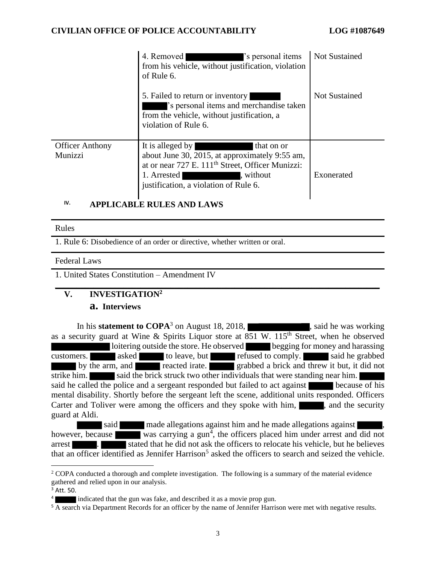|                                   | 4. Removed<br>'s personal items<br>from his vehicle, without justification, violation<br>of Rule 6.                                                                                                                   | <b>Not Sustained</b> |
|-----------------------------------|-----------------------------------------------------------------------------------------------------------------------------------------------------------------------------------------------------------------------|----------------------|
|                                   | 5. Failed to return or inventory<br>'s personal items and merchandise taken<br>from the vehicle, without justification, a<br>violation of Rule 6.                                                                     | <b>Not Sustained</b> |
| <b>Officer Anthony</b><br>Munizzi | It is alleged by<br>that on or<br>about June 30, 2015, at approximately 9:55 am,<br>at or near 727 E. 111 <sup>th</sup> Street, Officer Munizzi:<br>1. Arrested<br>, without<br>justification, a violation of Rule 6. | Exonerated           |

# **IV. APPLICABLE RULES AND LAWS**

#### Rules

1. Rule 6: Disobedience of an order or directive, whether written or oral.

#### Federal Laws

1. United States Constitution – Amendment IV

### **\_\_\_\_\_\_\_\_\_\_\_\_\_\_\_\_\_\_\_\_\_\_\_\_\_\_\_\_\_\_\_\_\_\_\_\_\_\_\_\_\_\_\_\_\_\_\_\_\_\_\_\_\_\_\_\_\_\_\_\_\_\_\_\_\_\_\_\_\_\_\_\_\_\_\_\_ V. INVESTIGATION<sup>2</sup>**

### **a. Interviews**

In his **statement to COPA**<sup>3</sup> on August 18, 2018,  $\blacksquare$ , said he was working as a security guard at Wine & Spirits Liquor store at  $851$  W.  $115<sup>th</sup>$  Street, when he observed loitering outside the store. He observed begging for money and harassing customers. asked to leave, but refused to comply. said he grabbed by the arm, and reacted irate. grabbed a brick and threw it but, it did not strike him. said the brick struck two other individuals that were standing near him. said he called the police and a sergeant responded but failed to act against because of his mental disability. Shortly before the sergeant left the scene, additional units responded. Officers Carter and Toliver were among the officers and they spoke with him, said the security guard at Aldi.

said made allegations against him and he made allegations against , however, because was carrying a gun<sup>4</sup>, the officers placed him under arrest and did not arrest **. Stated that he did not ask the officers to relocate his vehicle, but he believes** that an officer identified as Jennifer Harrison<sup>5</sup> asked the officers to search and seized the vehicle.

<sup>&</sup>lt;sup>2</sup> COPA conducted a thorough and complete investigation. The following is a summary of the material evidence gathered and relied upon in our analysis.

 $3$  Att. 50.

<sup>4</sup> indicated that the gun was fake, and described it as a movie prop gun.

<sup>&</sup>lt;sup>5</sup> A search via Department Records for an officer by the name of Jennifer Harrison were met with negative results.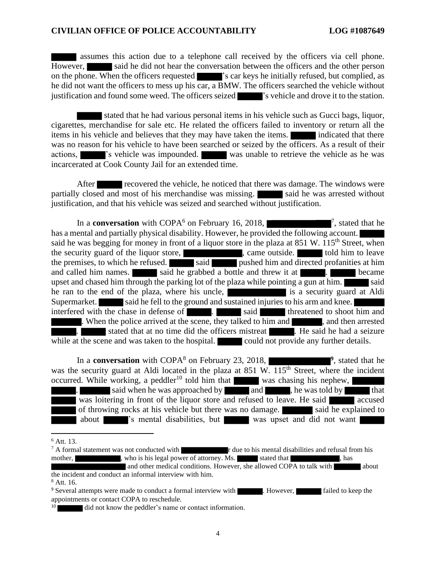assumes this action due to a telephone call received by the officers via cell phone. However, said he did not hear the conversation between the officers and the other person on the phone. When the officers requested  $\blacksquare$  's car keys he initially refused, but complied, as he did not want the officers to mess up his car, a BMW. The officers searched the vehicle without justification and found some weed. The officers seized  $\blacksquare$  's vehicle and drove it to the station.

stated that he had various personal items in his vehicle such as Gucci bags, liquor, cigarettes, merchandise for sale etc. He related the officers failed to inventory or return all the items in his vehicle and believes that they may have taken the items. **indicated that there** was no reason for his vehicle to have been searched or seized by the officers. As a result of their actions, 's vehicle was impounded. was unable to retrieve the vehicle as he was incarcerated at Cook County Jail for an extended time.

After **recovered the vehicle, he noticed that there was damage. The windows were** partially closed and most of his merchandise was missing. Said he was arrested without justification, and that his vehicle was seized and searched without justification.

In a **conversation** with  $\text{COPA}^6$  on February 16, 2018,  $\mathbb{Z}^7$ , stated that he has a mental and partially physical disability. However, he provided the following account. said he was begging for money in front of a liquor store in the plaza at 851 W. 115<sup>th</sup> Street, when the security guard of the liquor store,  $\Box$ , came outside.  $\Box$  told him to leave the premises, to which he refused. Said said pushed him and directed profanities at him and called him names. said he grabbed a bottle and threw it at the subsequence of the became upset and chased him through the parking lot of the plaza while pointing a gun at him.  $\Box$  said he ran to the end of the plaza, where his uncle, is a security guard at Aldi Supermarket. said he fell to the ground and sustained injuries to his arm and knee. interfered with the chase in defense of . Said said threatened to shoot him and . When the police arrived at the scene, they talked to him and , and then arrested . Stated that at no time did the officers mistreat . He said he had a seizure while at the scene and was taken to the hospital. could not provide any further details.

In a **conversation** with COPA<sup>8</sup> on February 23, 2018,  $P<sub>1</sub>$ , stated that he was the security guard at Aldi located in the plaza at  $851 \text{ W}$ .  $115^{\text{th}}$  Street, where the incident occurred. While working, a peddler<sup>10</sup> told him that was chasing his nephew, said when he was approached by and , he was told by that was loitering in front of the liquor store and refused to leave. He said of throwing rocks at his vehicle but there was no damage. said he explained to about  $\blacksquare$  's mental disabilities, but was upset and did not want

 $^6$  Att. 13.<br><sup>7</sup> A formal statement was not conducted with r due to his mental disabilities and refusal from his mother, who is his legal power of attorney. Ms. stated that , has and other medical conditions. However, she allowed COPA to talk with the incident and conduct an informal interview with him. <sup>8</sup> Att. 16.

<sup>&</sup>lt;sup>9</sup> Several attempts were made to conduct a formal interview with . However, **Figure** failed to keep the appointments or contact COPA to reschedule.

<sup>&</sup>lt;sup>10</sup> did not know the peddler's name or contact information.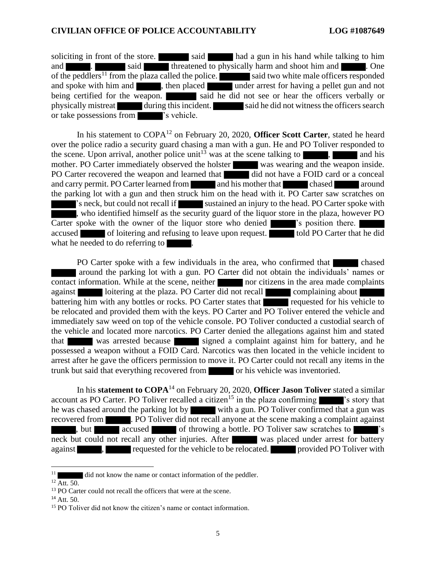soliciting in front of the store. said had a gun in his hand while talking to him and **and** said threatened to physically harm and shoot him and **Shoot him and .** One of the peddlers<sup>11</sup> from the plaza called the police. said two white male officers responded and spoke with him and  $\blacksquare$ , then placed under arrest for having a pellet gun and not being certified for the weapon. said he did not see or hear the officers verbally or physically mistreat during this incident. said he did not witness the officers search or take possessions from 's vehicle.

In his statement to COPA<sup>12</sup> on February 20, 2020, **Officer Scott Carter**, stated he heard over the police radio a security guard chasing a man with a gun. He and PO Toliver responded to the scene. Upon arrival, another police unit<sup>13</sup> was at the scene talking to  $\blacksquare$ , and his mother. PO Carter immediately observed the holster was wearing and the weapon inside. PO Carter recovered the weapon and learned that did not have a FOID card or a conceal and carry permit. PO Carter learned from and his mother that chased around the parking lot with a gun and then struck him on the head with it. PO Carter saw scratches on 's neck, but could not recall if sustained an injury to the head. PO Carter spoke with , who identified himself as the security guard of the liquor store in the plaza, however PO Carter spoke with the owner of the liquor store who denied 's position there. accused of loitering and refusing to leave upon request. told PO Carter that he did what he needed to do referring to

PO Carter spoke with a few individuals in the area, who confirmed that chased around the parking lot with a gun. PO Carter did not obtain the individuals' names or contact information. While at the scene, neither nor citizens in the area made complaints against loitering at the plaza. PO Carter did not recall complaining about battering him with any bottles or rocks. PO Carter states that requested for his vehicle to be relocated and provided them with the keys. PO Carter and PO Toliver entered the vehicle and immediately saw weed on top of the vehicle console. PO Toliver conducted a custodial search of the vehicle and located more narcotics. PO Carter denied the allegations against him and stated that was arrested because signed a complaint against him for battery, and he possessed a weapon without a FOID Card. Narcotics was then located in the vehicle incident to arrest after he gave the officers permission to move it. PO Carter could not recall any items in the trunk but said that everything recovered from or his vehicle was inventoried.

In his **statement to COPA**<sup>14</sup> on February 20, 2020, **Officer Jason Toliver** stated a similar account as PO Carter. PO Toliver recalled a citizen<sup>15</sup> in the plaza confirming  $\blacksquare$  's story that he was chased around the parking lot by with a gun. PO Toliver confirmed that a gun was recovered from . PO Toliver did not recall anyone at the scene making a complaint against , but accused of throwing a bottle. PO Toliver saw scratches to neck but could not recall any other injuries. After was placed under arrest for battery against  $\blacksquare$ , requested for the vehicle to be relocated. provided PO Toliver with

If did not know the name or contact information of the peddler.

 $12$  Att. 50.

<sup>&</sup>lt;sup>13</sup> PO Carter could not recall the officers that were at the scene.

<sup>&</sup>lt;sup>14</sup> Att. 50.

<sup>&</sup>lt;sup>15</sup> PO Toliver did not know the citizen's name or contact information.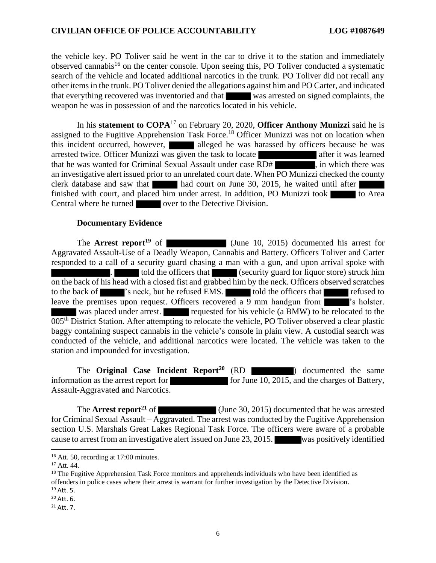the vehicle key. PO Toliver said he went in the car to drive it to the station and immediately observed cannabis<sup>16</sup> on the center console. Upon seeing this, PO Toliver conducted a systematic search of the vehicle and located additional narcotics in the trunk. PO Toliver did not recall any other items in the trunk. PO Toliver denied the allegations against him and PO Carter, and indicated that everything recovered was inventoried and that was arrested on signed complaints, the weapon he was in possession of and the narcotics located in his vehicle.

In his **statement to COPA**<sup>17</sup> on February 20, 2020, **Officer Anthony Munizzi** said he is assigned to the Fugitive Apprehension Task Force.<sup>18</sup> Officer Munizzi was not on location when this incident occurred, however, alleged he was harassed by officers because he was arrested twice. Officer Munizzi was given the task to locate after it was learned that he was wanted for Criminal Sexual Assault under case RD# , in which there was an investigative alert issued prior to an unrelated court date. When PO Munizzi checked the county clerk database and saw that had court on June 30, 2015, he waited until after finished with court, and placed him under arrest. In addition, PO Munizzi took to Area Central where he turned over to the Detective Division.

#### **Documentary Evidence**

The **Arrest report<sup>19</sup>** of (June 10, 2015) documented his arrest for Aggravated Assault-Use of a Deadly Weapon, Cannabis and Battery. Officers Toliver and Carter responded to a call of a security guard chasing a man with a gun, and upon arrival spoke with told the officers that (security guard for liquor store) struck him on the back of his head with a closed fist and grabbed him by the neck. Officers observed scratches to the back of 's neck, but he refused EMS. Told the officers that refused to leave the premises upon request. Officers recovered a 9 mm handgun from **interespense in the set of the set of**'s holster. was placed under arrest. requested for his vehicle (a BMW) to be relocated to the 005th District Station. After attempting to relocate the vehicle, PO Toliver observed a clear plastic baggy containing suspect cannabis in the vehicle's console in plain view. A custodial search was conducted of the vehicle, and additional narcotics were located. The vehicle was taken to the station and impounded for investigation.

The **Original Case Incident Report<sup>20</sup>** (RD ) documented the same information as the arrest report for for for for June 10, 2015, and the charges of Battery, Assault-Aggravated and Narcotics.

The **Arrest report**<sup>21</sup> of (June 30, 2015) documented that he was arrested for Criminal Sexual Assault – Aggravated. The arrest was conducted by the Fugitive Apprehension section U.S. Marshals Great Lakes Regional Task Force. The officers were aware of a probable cause to arrest from an investigative alert issued on June 23, 2015. was positively identified

 $20$  Att. 6.

<sup>&</sup>lt;sup>16</sup> Att. 50, recording at 17:00 minutes.

<sup>17</sup> Att. 44.

<sup>&</sup>lt;sup>18</sup> The Fugitive Apprehension Task Force monitors and apprehends individuals who have been identified as offenders in police cases where their arrest is warrant for further investigation by the Detective Division.  $19$  Att. 5.

<sup>21</sup> Att. 7.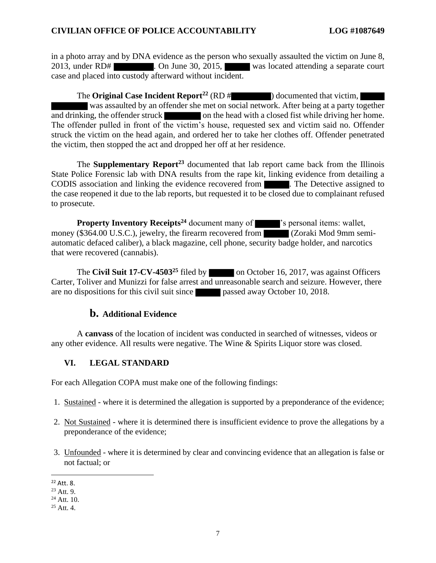in a photo array and by DNA evidence as the person who sexually assaulted the victim on June 8, 2013, under RD# . On June 30, 2015, was located attending a separate court case and placed into custody afterward without incident.

The **Original Case Incident Report**<sup>22</sup> (RD # ) documented that victim, was assaulted by an offender she met on social network. After being at a party together and drinking, the offender struck on the head with a closed fist while driving her home. The offender pulled in front of the victim's house, requested sex and victim said no. Offender struck the victim on the head again, and ordered her to take her clothes off. Offender penetrated the victim, then stopped the act and dropped her off at her residence.

The **Supplementary Report<sup>23</sup>** documented that lab report came back from the Illinois State Police Forensic lab with DNA results from the rape kit, linking evidence from detailing a CODIS association and linking the evidence recovered from . The Detective assigned to the case reopened it due to the lab reports, but requested it to be closed due to complainant refused to prosecute.

**Property Inventory Receipts<sup>24</sup>** document many of  $\blacksquare$ 's personal items: wallet, money (\$364.00 U.S.C.), jewelry, the firearm recovered from (Zoraki Mod 9mm semiautomatic defaced caliber), a black magazine, cell phone, security badge holder, and narcotics that were recovered (cannabis).

The **Civil Suit 17-CV-4503**<sup>25</sup> filed by  $\Box$  on October 16, 2017, was against Officers Carter, Toliver and Munizzi for false arrest and unreasonable search and seizure. However, there are no dispositions for this civil suit since passed away October 10, 2018.

# **b. Additional Evidence**

A **canvass** of the location of incident was conducted in searched of witnesses, videos or any other evidence. All results were negative. The Wine & Spirits Liquor store was closed.

# **VI. LEGAL STANDARD**

For each Allegation COPA must make one of the following findings:

- 1. Sustained where it is determined the allegation is supported by a preponderance of the evidence;
- 2. Not Sustained where it is determined there is insufficient evidence to prove the allegations by a preponderance of the evidence;
- 3. Unfounded where it is determined by clear and convincing evidence that an allegation is false or not factual; or

<sup>22</sup> Att. 8.

<sup>23</sup> Att. 9.

<sup>24</sup> Att. 10.

 $25$  Att. 4.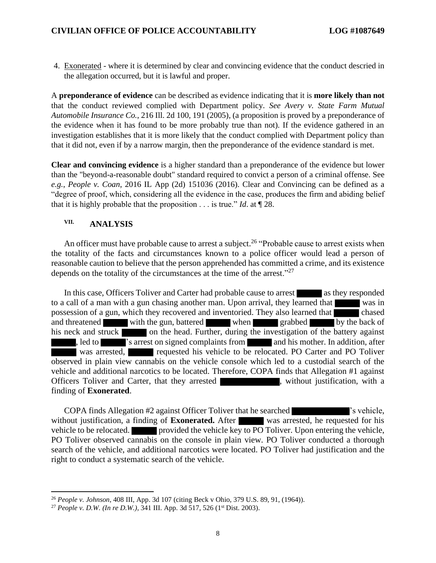4. Exonerated - where it is determined by clear and convincing evidence that the conduct descried in the allegation occurred, but it is lawful and proper.

A **preponderance of evidence** can be described as evidence indicating that it is **more likely than not** that the conduct reviewed complied with Department policy. *See Avery v. State Farm Mutual Automobile Insurance Co.*, 216 Ill. 2d 100, 191 (2005), (a proposition is proved by a preponderance of the evidence when it has found to be more probably true than not). If the evidence gathered in an investigation establishes that it is more likely that the conduct complied with Department policy than that it did not, even if by a narrow margin, then the preponderance of the evidence standard is met.

**Clear and convincing evidence** is a higher standard than a preponderance of the evidence but lower than the "beyond-a-reasonable doubt" standard required to convict a person of a criminal offense. See *e.g.*, *People v. Coan*, 2016 IL App (2d) 151036 (2016). Clear and Convincing can be defined as a "degree of proof, which, considering all the evidence in the case, produces the firm and abiding belief that it is highly probable that the proposition . . . is true." *Id*. at ¶ 28.

# **VII. ANALYSIS**

An officer must have probable cause to arrest a subject.<sup>26</sup> "Probable cause to arrest exists when the totality of the facts and circumstances known to a police officer would lead a person of reasonable caution to believe that the person apprehended has committed a crime, and its existence depends on the totality of the circumstances at the time of the arrest."<sup>27</sup>

In this case, Officers Toliver and Carter had probable cause to arrest as they responded to a call of a man with a gun chasing another man. Upon arrival, they learned that was in possession of a gun, which they recovered and inventoried. They also learned that chased and threatened with the gun, battered when grabbed by the back of his neck and struck on the head. Further, during the investigation of the battery against , led to  $\blacksquare$  's arrest on signed complaints from and his mother. In addition, after was arrested, requested his vehicle to be relocated. PO Carter and PO Toliver observed in plain view cannabis on the vehicle console which led to a custodial search of the vehicle and additional narcotics to be located. Therefore, COPA finds that Allegation #1 against Officers Toliver and Carter, that they arrested , without justification, with a finding of **Exonerated**.

COPA finds Allegation #2 against Officer Toliver that he searched 's vehicle, without justification, a finding of **Exonerated.** After was arrested, he requested for his vehicle to be relocated. provided the vehicle key to PO Toliver. Upon entering the vehicle, PO Toliver observed cannabis on the console in plain view. PO Toliver conducted a thorough search of the vehicle, and additional narcotics were located. PO Toliver had justification and the right to conduct a systematic search of the vehicle.

<sup>26</sup> *People v. Johnson*, 408 III, App. 3d 107 (citing Beck v Ohio, 379 U.S. 89, 91, (1964)).

<sup>&</sup>lt;sup>27</sup> People v. D.W. (In re D.W.),  $341$  III. App. 3d 517, 526 (1<sup>st</sup> Dist. 2003).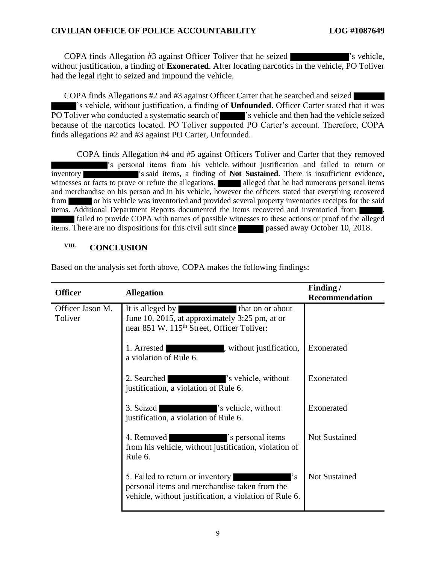COPA finds Allegation #3 against Officer Toliver that he seized  $\blacksquare$  's vehicle, without justification, a finding of **Exonerated**. After locating narcotics in the vehicle, PO Toliver had the legal right to seized and impound the vehicle.

COPA finds Allegations #2 and #3 against Officer Carter that he searched and seized 's vehicle, without justification, a finding of **Unfounded**. Officer Carter stated that it was PO Toliver who conducted a systematic search of 's vehicle and then had the vehicle seized because of the narcotics located. PO Toliver supported PO Carter's account. Therefore, COPA finds allegations #2 and #3 against PO Carter, Unfounded.

COPA finds Allegation #4 and #5 against Officers Toliver and Carter that they removed 's personal items from his vehicle, without justification and failed to return or inventory 's said items, a finding of **Not Sustained**. There is insufficient evidence, witnesses or facts to prove or refute the allegations. alleged that he had numerous personal items and merchandise on his person and in his vehicle, however the officers stated that everything recovered from or his vehicle was inventoried and provided several property inventories receipts for the said items. Additional Department Reports documented the items recovered and inventoried from . failed to provide COPA with names of possible witnesses to these actions or proof of the alleged items. There are no dispositions for this civil suit since **passed away October 10, 2018.** 

# **VIII. CONCLUSION**

| <b>Officer</b>              | <b>Allegation</b>                                                                                                                                 | Finding /             |
|-----------------------------|---------------------------------------------------------------------------------------------------------------------------------------------------|-----------------------|
| Officer Jason M.<br>Toliver | It is alleged by<br>that on or about<br>June 10, 2015, at approximately 3:25 pm, at or<br>near 851 W. 115 <sup>th</sup> Street, Officer Toliver:  | <b>Recommendation</b> |
|                             | , without justification,<br>1. Arrested<br>a violation of Rule 6.                                                                                 | Exonerated            |
|                             | 2. Searched<br>'s vehicle, without<br>justification, a violation of Rule 6.                                                                       | Exonerated            |
|                             | 's vehicle, without<br>3. Seized<br>justification, a violation of Rule 6.                                                                         | Exonerated            |
|                             | 4. Removed<br>'s personal items<br>from his vehicle, without justification, violation of<br>Rule 6.                                               | <b>Not Sustained</b>  |
|                             | 5. Failed to return or inventory<br>'s<br>personal items and merchandise taken from the<br>vehicle, without justification, a violation of Rule 6. | <b>Not Sustained</b>  |

Based on the analysis set forth above, COPA makes the following findings: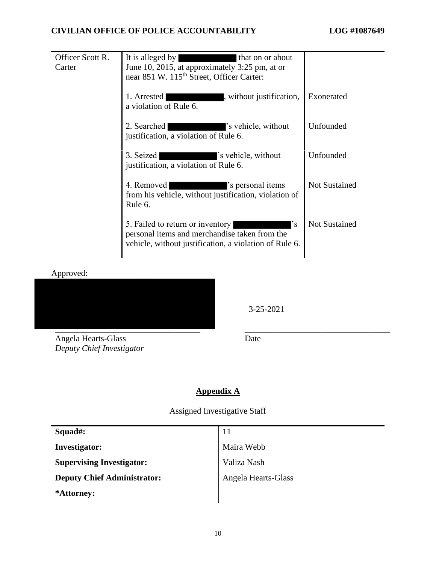| Officer Scott R. | It is alleged by<br>that on or about                                                                                                              |                      |
|------------------|---------------------------------------------------------------------------------------------------------------------------------------------------|----------------------|
| Carter           | June 10, 2015, at approximately 3:25 pm, at or                                                                                                    |                      |
|                  | near 851 W. 115 <sup>th</sup> Street, Officer Carter:                                                                                             |                      |
|                  | 1. Arrested<br>, without justification,<br>a violation of Rule 6.                                                                                 | Exonerated           |
|                  | 2. Searched<br>'s vehicle, without<br>justification, a violation of Rule 6.                                                                       | Unfounded            |
|                  | 's vehicle, without<br>3. Seized<br>justification, a violation of Rule 6.                                                                         | Unfounded            |
|                  | 4. Removed<br>'s personal items<br>from his vehicle, without justification, violation of<br>Rule 6.                                               | <b>Not Sustained</b> |
|                  | 5. Failed to return or inventory<br>'s<br>personal items and merchandise taken from the<br>vehicle, without justification, a violation of Rule 6. | <b>Not Sustained</b> |

Approved:



3-25-2021

Angela Hearts-Glass *Deputy Chief Investigator* Date

# **Appendix A**

Assigned Investigative Staff

| Squad#:                            | 11                  |
|------------------------------------|---------------------|
| <b>Investigator:</b>               | Maira Webb          |
| <b>Supervising Investigator:</b>   | Valiza Nash         |
| <b>Deputy Chief Administrator:</b> | Angela Hearts-Glass |
| *Attorney:                         |                     |